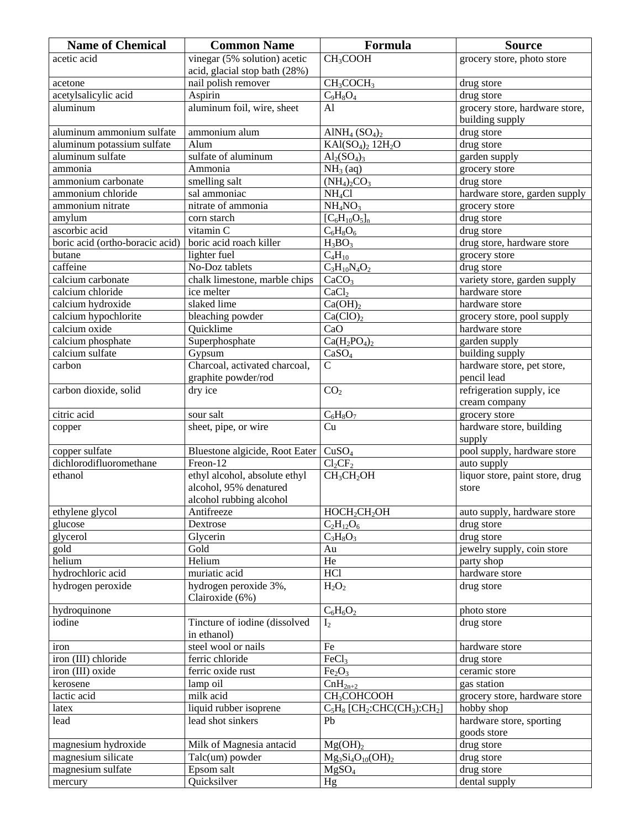| <b>Name of Chemical</b>         | <b>Common Name</b>             | Formula                                                            | <b>Source</b>                   |
|---------------------------------|--------------------------------|--------------------------------------------------------------------|---------------------------------|
| acetic acid                     | vinegar (5% solution) acetic   | CH <sub>3</sub> COOH                                               | grocery store, photo store      |
|                                 | acid, glacial stop bath (28%)  |                                                                    |                                 |
| acetone                         | nail polish remover            | CH <sub>3</sub> COCH <sub>3</sub>                                  | drug store                      |
| acetylsalicylic acid            | Aspirin                        | $C_9H_8O_4$                                                        | drug store                      |
| aluminum                        | aluminum foil, wire, sheet     | A <sub>1</sub>                                                     | grocery store, hardware store,  |
|                                 |                                |                                                                    | building supply                 |
| aluminum ammonium sulfate       | ammonium alum                  | AlNH <sub>4</sub> $(SO4)2$                                         | drug store                      |
| aluminum potassium sulfate      | Alum                           | $KAI(SO4)2 12H2O$                                                  | drug store                      |
| aluminum sulfate                | sulfate of aluminum            | $Al_2(SO_4)_3$                                                     | garden supply                   |
| ammonia                         | Ammonia                        | $NH3$ (aq)                                                         | grocery store                   |
| ammonium carbonate              | smelling salt                  | $(NH4)2CO3$                                                        | drug store                      |
| ammonium chloride               | sal ammoniac                   | NH <sub>4</sub> Cl                                                 | hardware store, garden supply   |
| ammonium nitrate                | nitrate of ammonia             | NH <sub>4</sub> NO <sub>3</sub>                                    | grocery store                   |
| amylum                          | corn starch                    | $[C_6H_{10}O_5]_n$                                                 | drug store                      |
| ascorbic acid                   | vitamin C                      | $C_6H_8O_6$                                                        | drug store                      |
| boric acid (ortho-boracic acid) | boric acid roach killer        | $H_3BO_3$                                                          | drug store, hardware store      |
| butane                          | lighter fuel                   | $C_4H_{10}$                                                        | grocery store                   |
| caffeine                        | No-Doz tablets                 | $C_3H_{10}N_4O_2$                                                  | drug store                      |
| calcium carbonate               | chalk limestone, marble chips  | CaCO <sub>3</sub>                                                  | variety store, garden supply    |
| calcium chloride                | ice melter                     | CaCl <sub>2</sub>                                                  | hardware store                  |
| calcium hydroxide               | slaked lime                    | Ca(OH) <sub>2</sub>                                                | hardware store                  |
| calcium hypochlorite            | bleaching powder               | Ca(CIO) <sub>2</sub>                                               | grocery store, pool supply      |
| calcium oxide                   | Quicklime                      | CaO                                                                | hardware store                  |
| calcium phosphate               | Superphosphate                 | $Ca(H_2PO_4)_2$                                                    | garden supply                   |
| calcium sulfate                 | Gypsum                         | CaSO <sub>4</sub>                                                  | building supply                 |
| carbon                          | Charcoal, activated charcoal,  | $\mathsf{C}$                                                       | hardware store, pet store,      |
|                                 | graphite powder/rod            |                                                                    | pencil lead                     |
| carbon dioxide, solid           | dry ice                        | CO <sub>2</sub>                                                    | refrigeration supply, ice       |
|                                 |                                |                                                                    | cream company                   |
| citric acid                     | sour salt                      | $C_6H_8O_7$                                                        | grocery store                   |
|                                 | sheet, pipe, or wire           | Cu                                                                 | hardware store, building        |
| copper                          |                                |                                                                    | supply                          |
| copper sulfate                  | Bluestone algicide, Root Eater | CuSO <sub>4</sub>                                                  | pool supply, hardware store     |
| dichlorodifluoromethane         | Freon-12                       | $Cl_2CF_2$                                                         | auto supply                     |
| ethanol                         | ethyl alcohol, absolute ethyl  | CH <sub>3</sub> CH <sub>2</sub> OH                                 | liquor store, paint store, drug |
|                                 | alcohol, 95% denatured         |                                                                    |                                 |
|                                 |                                |                                                                    | store                           |
|                                 | alcohol rubbing alcohol        |                                                                    |                                 |
| ethylene glycol                 | Antifreeze                     | HOCH <sub>2</sub> CH <sub>2</sub> OH                               | auto supply, hardware store     |
| glucose                         | Dextrose                       | $C_2H_{12}O_6$                                                     | drug store                      |
| glycerol                        | Glycerin                       | $C_3H_8O_3$                                                        | drug store                      |
| gold                            | Gold                           | Au                                                                 | jewelry supply, coin store      |
| helium                          | Helium                         | He                                                                 | party shop                      |
| hydrochloric acid               | muriatic acid                  | <b>HCl</b>                                                         | hardware store                  |
| hydrogen peroxide               | hydrogen peroxide 3%,          | $H_2O_2$                                                           | drug store                      |
|                                 | Clairoxide (6%)                |                                                                    |                                 |
| hydroquinone                    |                                | $C_6H_6O_2$                                                        | photo store                     |
| iodine                          | Tincture of iodine (dissolved  | $I_2$                                                              | drug store                      |
|                                 | in ethanol)                    |                                                                    |                                 |
| iron                            | steel wool or nails            | Fe                                                                 | hardware store                  |
| iron (III) chloride             | ferric chloride                | FeCl <sub>3</sub>                                                  | drug store                      |
| iron (III) oxide                | ferric oxide rust              | Fe <sub>2</sub> O <sub>3</sub>                                     | ceramic store                   |
| kerosene                        | lamp oil                       | $CnH2n+2$                                                          | gas station                     |
| lactic acid                     | milk acid                      | CH <sub>3</sub> COHCOOH                                            | grocery store, hardware store   |
| latex                           | liquid rubber isoprene         | $C_5H_8$ [CH <sub>2</sub> :CHC(CH <sub>3</sub> ):CH <sub>2</sub> ] | hobby shop                      |
| lead                            | lead shot sinkers              | Pb                                                                 | hardware store, sporting        |
|                                 |                                |                                                                    | goods store                     |
| magnesium hydroxide             | Milk of Magnesia antacid       | Mg(OH) <sub>2</sub>                                                | drug store                      |
| magnesium silicate              | Talc(um) powder                | $Mg_3Si_4O_{10}(OH)_2$                                             | drug store                      |
| magnesium sulfate               | Epsom salt                     | MgSO <sub>4</sub>                                                  | drug store                      |
| mercury                         | Quicksilver                    | Hg                                                                 | dental supply                   |